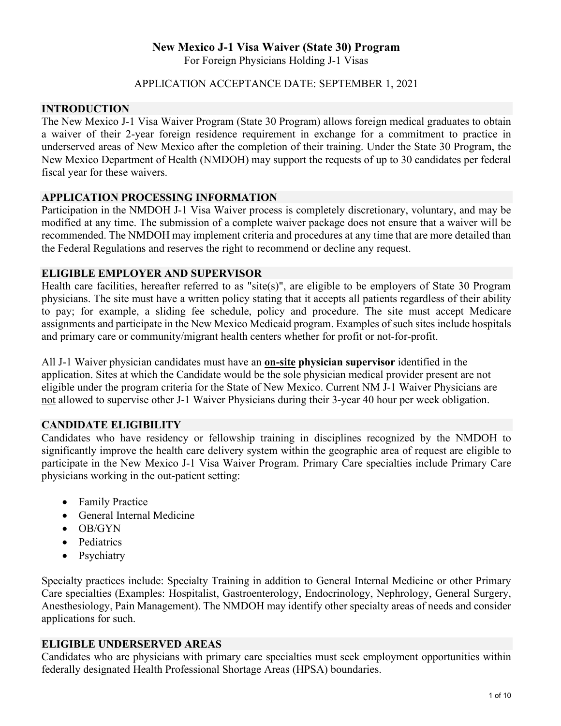# **New Mexico J-1 Visa Waiver (State 30) Program**

For Foreign Physicians Holding J-1 Visas

### APPLICATION ACCEPTANCE DATE: SEPTEMBER 1, 2021

#### **INTRODUCTION**

The New Mexico J-1 Visa Waiver Program (State 30 Program) allows foreign medical graduates to obtain a waiver of their 2-year foreign residence requirement in exchange for a commitment to practice in underserved areas of New Mexico after the completion of their training. Under the State 30 Program, the New Mexico Department of Health (NMDOH) may support the requests of up to 30 candidates per federal fiscal year for these waivers.

#### **APPLICATION PROCESSING INFORMATION**

Participation in the NMDOH J-1 Visa Waiver process is completely discretionary, voluntary, and may be modified at any time. The submission of a complete waiver package does not ensure that a waiver will be recommended. The NMDOH may implement criteria and procedures at any time that are more detailed than the Federal Regulations and reserves the right to recommend or decline any request.

#### **ELIGIBLE EMPLOYER AND SUPERVISOR**

Health care facilities, hereafter referred to as "site(s)", are eligible to be employers of State 30 Program physicians. The site must have a written policy stating that it accepts all patients regardless of their ability to pay; for example, a sliding fee schedule, policy and procedure. The site must accept Medicare assignments and participate in the New Mexico Medicaid program. Examples of such sites include hospitals and primary care or community/migrant health centers whether for profit or not-for-profit.

All J-1 Waiver physician candidates must have an **on-site physician supervisor** identified in the application. Sites at which the Candidate would be the sole physician medical provider present are not eligible under the program criteria for the State of New Mexico. Current NM J-1 Waiver Physicians are not allowed to supervise other J-1 Waiver Physicians during their 3-year 40 hour per week obligation.

## **CANDIDATE ELIGIBILITY**

Candidates who have residency or fellowship training in disciplines recognized by the NMDOH to significantly improve the health care delivery system within the geographic area of request are eligible to participate in the New Mexico J-1 Visa Waiver Program. Primary Care specialties include Primary Care physicians working in the out-patient setting:

- Family Practice
- General Internal Medicine
- OB/GYN
- Pediatrics
- Psychiatry

Specialty practices include: Specialty Training in addition to General Internal Medicine or other Primary Care specialties (Examples: Hospitalist, Gastroenterology, Endocrinology, Nephrology, General Surgery, Anesthesiology, Pain Management). The NMDOH may identify other specialty areas of needs and consider applications for such.

## **ELIGIBLE UNDERSERVED AREAS**

Candidates who are physicians with primary care specialties must seek employment opportunities within federally designated Health Professional Shortage Areas (HPSA) boundaries.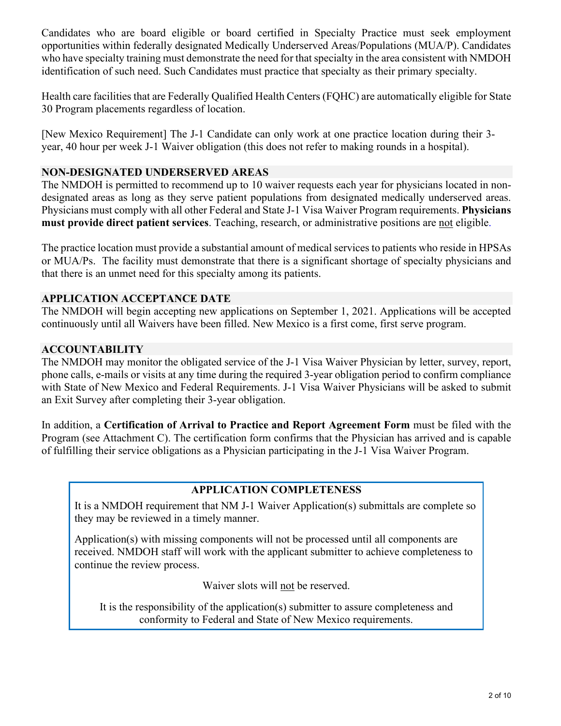Candidates who are board eligible or board certified in Specialty Practice must seek employment opportunities within federally designated Medically Underserved Areas/Populations (MUA/P). Candidates who have specialty training must demonstrate the need for that specialty in the area consistent with NMDOH identification of such need. Such Candidates must practice that specialty as their primary specialty.

Health care facilities that are Federally Qualified Health Centers (FQHC) are automatically eligible for State 30 Program placements regardless of location.

[New Mexico Requirement] The J-1 Candidate can only work at one practice location during their 3 year, 40 hour per week J-1 Waiver obligation (this does not refer to making rounds in a hospital).

## **NON-DESIGNATED UNDERSERVED AREAS**

The NMDOH is permitted to recommend up to 10 waiver requests each year for physicians located in nondesignated areas as long as they serve patient populations from designated medically underserved areas. Physicians must comply with all other Federal and State J-1 Visa Waiver Program requirements. **Physicians must provide direct patient services**. Teaching, research, or administrative positions are not eligible.

The practice location must provide a substantial amount of medical services to patients who reside in HPSAs or MUA/Ps. The facility must demonstrate that there is a significant shortage of specialty physicians and that there is an unmet need for this specialty among its patients.

## **APPLICATION ACCEPTANCE DATE**

The NMDOH will begin accepting new applications on September 1, 2021. Applications will be accepted continuously until all Waivers have been filled. New Mexico is a first come, first serve program.

### **ACCOUNTABILITY**

The NMDOH may monitor the obligated service of the J-1 Visa Waiver Physician by letter, survey, report, phone calls, e-mails or visits at any time during the required 3-year obligation period to confirm compliance with State of New Mexico and Federal Requirements. J-1 Visa Waiver Physicians will be asked to submit an Exit Survey after completing their 3-year obligation.

In addition, a **Certification of Arrival to Practice and Report Agreement Form** must be filed with the Program (see Attachment C). The certification form confirms that the Physician has arrived and is capable of fulfilling their service obligations as a Physician participating in the J-1 Visa Waiver Program.

## **APPLICATION COMPLETENESS**

It is a NMDOH requirement that NM J-1 Waiver Application(s) submittals are complete so they may be reviewed in a timely manner.

Application(s) with missing components will not be processed until all components are received. NMDOH staff will work with the applicant submitter to achieve completeness to continue the review process.

Waiver slots will not be reserved.

It is the responsibility of the application(s) submitter to assure completeness and conformity to Federal and State of New Mexico requirements.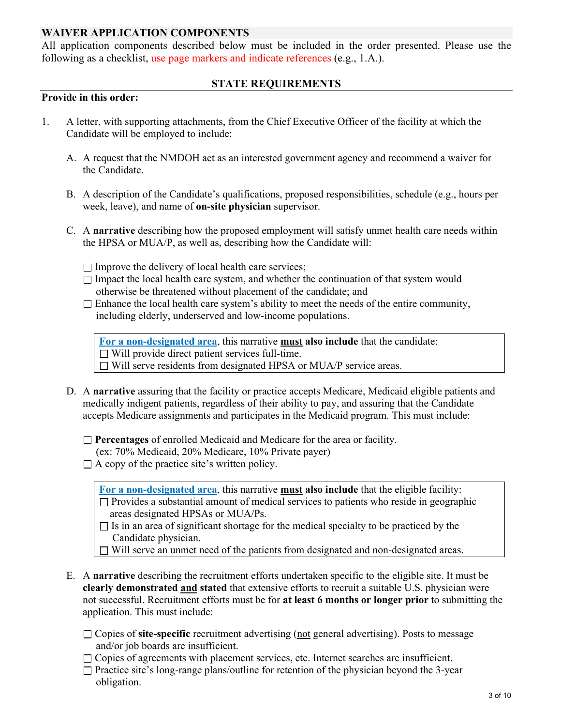## **WAIVER APPLICATION COMPONENTS**

All application components described below must be included in the order presented. Please use the following as a checklist, use page markers and indicate references (e.g., 1.A.).

## **STATE REQUIREMENTS**

#### **Provide in this order:**

- 1. A letter, with supporting attachments, from the Chief Executive Officer of the facility at which the Candidate will be employed to include:
	- A. A request that the NMDOH act as an interested government agency and recommend a waiver for the Candidate.
	- B. A description of the Candidate's qualifications, proposed responsibilities, schedule (e.g., hours per week, leave), and name of **on-site physician** supervisor.
	- C. A **narrative** describing how the proposed employment will satisfy unmet health care needs within the HPSA or MUA/P, as well as, describing how the Candidate will:
		- $\Box$  Improve the delivery of local health care services;
		- $\Box$  Impact the local health care system, and whether the continuation of that system would otherwise be threatened without placement of the candidate; and
		- $\Box$  Enhance the local health care system's ability to meet the needs of the entire community, including elderly, underserved and low-income populations.

**For a non-designated area**, this narrative **must also include** that the candidate:  $\Box$  Will provide direct patient services full-time. Will serve residents from designated HPSA or MUA/P service areas.

D. A **narrative** assuring that the facility or practice accepts Medicare, Medicaid eligible patients and medically indigent patients, regardless of their ability to pay, and assuring that the Candidate accepts Medicare assignments and participates in the Medicaid program. This must include:

**Percentages** of enrolled Medicaid and Medicare for the area or facility.

- (ex: 70% Medicaid, 20% Medicare, 10% Private payer)
- $\Box$  A copy of the practice site's written policy.

**For a non-designated area**, this narrative **must also include** that the eligible facility:

 $\Box$  Provides a substantial amount of medical services to patients who reside in geographic areas designated HPSAs or MUA/Ps.

 $\Box$  Is in an area of significant shortage for the medical specialty to be practiced by the Candidate physician.

 $\Box$  Will serve an unmet need of the patients from designated and non-designated areas.

- E. A **narrative** describing the recruitment efforts undertaken specific to the eligible site. It must be **clearly demonstrated and stated** that extensive efforts to recruit a suitable U.S. physician were not successful. Recruitment efforts must be for **at least 6 months or longer prior** to submitting the application. This must include:
	- Copies of **site-specific** recruitment advertising (not general advertising). Posts to message and/or job boards are insufficient.
	- $\Box$  Copies of agreements with placement services, etc. Internet searches are insufficient.
	- $\Box$  Practice site's long-range plans/outline for retention of the physician beyond the 3-year obligation.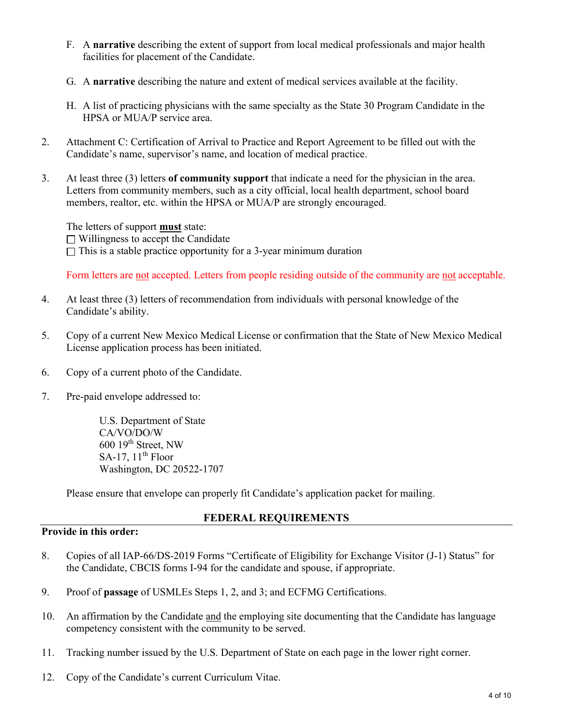- F. A **narrative** describing the extent of support from local medical professionals and major health facilities for placement of the Candidate.
- G. A **narrative** describing the nature and extent of medical services available at the facility.
- H. A list of practicing physicians with the same specialty as the State 30 Program Candidate in the HPSA or MUA/P service area.
- 2. Attachment C: Certification of Arrival to Practice and Report Agreement to be filled out with the Candidate's name, supervisor's name, and location of medical practice.
- 3. At least three (3) letters **of community support** that indicate a need for the physician in the area. Letters from community members, such as a city official, local health department, school board members, realtor, etc. within the HPSA or MUA/P are strongly encouraged.

The letters of support **must** state:  $\Box$  Willingness to accept the Candidate  $\Box$  This is a stable practice opportunity for a 3-year minimum duration

Form letters are not accepted. Letters from people residing outside of the community are not acceptable.

- 4. At least three (3) letters of recommendation from individuals with personal knowledge of the Candidate's ability.
- 5. Copy of a current New Mexico Medical License or confirmation that the State of New Mexico Medical License application process has been initiated.
- 6. Copy of a current photo of the Candidate.
- 7. Pre-paid envelope addressed to:

U.S. Department of State CA/VO/DO/W 600 19th Street, NW SA-17,  $11<sup>th</sup>$  Floor Washington, DC 20522-1707

Please ensure that envelope can properly fit Candidate's application packet for mailing.

## **FEDERAL REQUIREMENTS**

### **Provide in this order:**

- 8. Copies of all IAP-66/DS-2019 Forms "Certificate of Eligibility for Exchange Visitor (J-1) Status" for the Candidate, CBCIS forms I-94 for the candidate and spouse, if appropriate.
- 9. Proof of **passage** of USMLEs Steps 1, 2, and 3; and ECFMG Certifications.
- 10. An affirmation by the Candidate and the employing site documenting that the Candidate has language competency consistent with the community to be served.
- 11. Tracking number issued by the U.S. Department of State on each page in the lower right corner.
- 12. Copy of the Candidate's current Curriculum Vitae.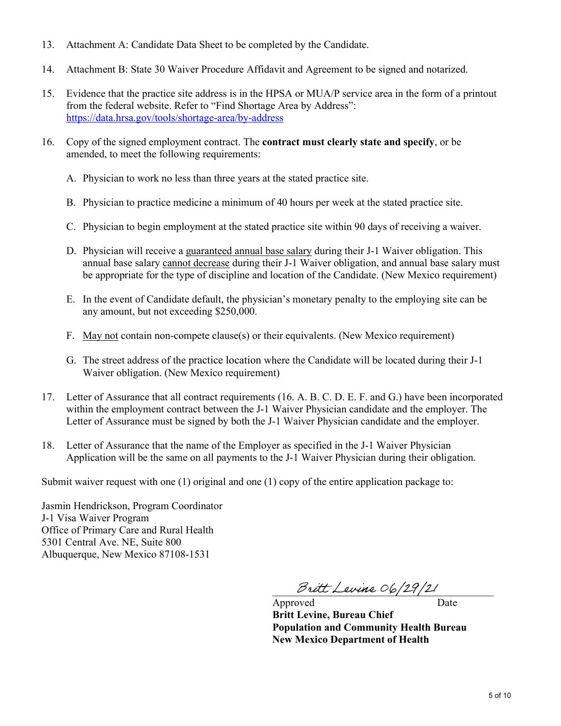- 13. Attachment A: Candidate Data Sheet to be completed by the Candidate.
- 14. Attachment B: State 30 Waiver Procedure Affidavit and Agreement to be signed and notarized.
- 15. Evidence that the practice site address is in the HPSA or MUA/P service area in the form of a printout from the federal website. Refer to "Find Shortage Area by Address": <https://data.hrsa.gov/tools/shortage-area/by-address>
- 16. Copy of the signed employment contract. The **contract must clearly state and specify**, or be amended, to meet the following requirements:
	- A. Physician to work no less than three years at the stated practice site.
	- B. Physician to practice medicine a minimum of 40 hours per week at the stated practice site.
	- C. Physician to begin employment at the stated practice site within 90 days of receiving a waiver.
	- D. Physician will receive a guaranteed annual base salary during their J-1 Waiver obligation. This annual base salary cannot decrease during their J-1 Waiver obligation, and annual base salary must be appropriate for the type of discipline and location of the Candidate. (New Mexico requirement)
	- E. In the event of Candidate default, the physician's monetary penalty to the employing site can be any amount, but not exceeding \$250,000.
	- F. May not contain non-compete clause(s) or their equivalents. (New Mexico requirement)
	- G. The street address of the practice location where the Candidate will be located during their J-1 Waiver obligation. (New Mexico requirement)
- 17. Letter of Assurance that all contract requirements (16. A. B. C. D. E. F. and G.) have been incorporated within the employment contract between the J-1 Waiver Physician candidate and the employer. The Letter of Assurance must be signed by both the J-1 Waiver Physician candidate and the employer.
- 18. Letter of Assurance that the name of the Employer as specified in the J-1 Waiver Physician Application will be the same on all payments to the J-1 Waiver Physician during their obligation.

Submit waiver request with one (1) original and one (1) copy of the entire application package to:

Jasmin Hendrickson, Program Coordinator J-1 Visa Waiver Program Office of Primary Care and Rural Health 5301 Central Ave. NE, Suite 800 Albuquerque, New Mexico 87108-1531

Britt Levine 06/29/21

Approved Date **Britt Levine, Bureau Chief Population and Community Health Bureau New Mexico Department of Health**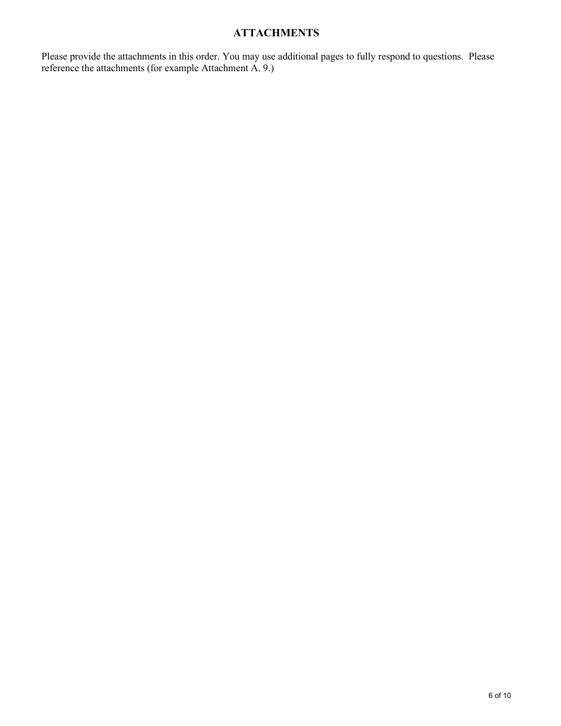# **ATTACHMENTS**

Please provide the attachments in this order. You may use additional pages to fully respond to questions. Please reference the attachments (for example Attachment A. 9.)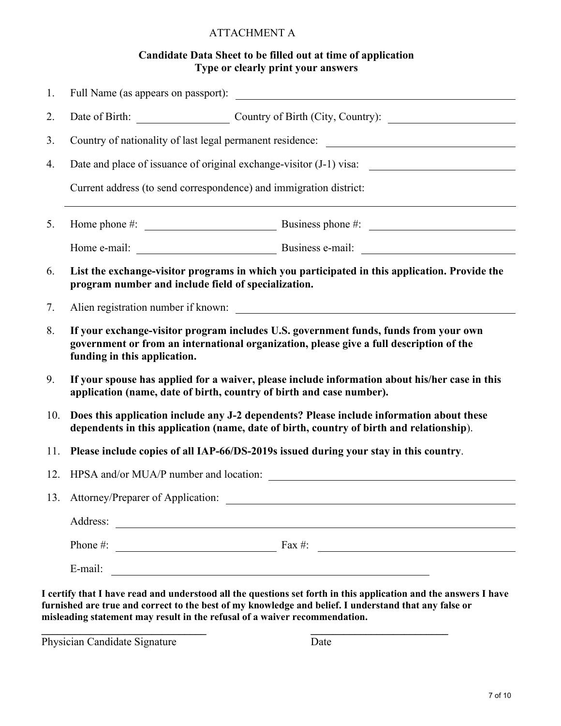## ATTACHMENT A

## **Candidate Data Sheet to be filled out at time of application Type or clearly print your answers**

| 1.  | Full Name (as appears on passport):                                                                                                                                                                             |                                                                                                   |  |  |  |
|-----|-----------------------------------------------------------------------------------------------------------------------------------------------------------------------------------------------------------------|---------------------------------------------------------------------------------------------------|--|--|--|
| 2.  |                                                                                                                                                                                                                 | Date of Birth: Country of Birth (City, Country):                                                  |  |  |  |
| 3.  |                                                                                                                                                                                                                 |                                                                                                   |  |  |  |
| 4.  |                                                                                                                                                                                                                 |                                                                                                   |  |  |  |
|     | Current address (to send correspondence) and immigration district:                                                                                                                                              |                                                                                                   |  |  |  |
| 5.  |                                                                                                                                                                                                                 | Home phone #: $\qquad \qquad$ Business phone #:                                                   |  |  |  |
|     |                                                                                                                                                                                                                 |                                                                                                   |  |  |  |
| 6.  | List the exchange-visitor programs in which you participated in this application. Provide the<br>program number and include field of specialization.                                                            |                                                                                                   |  |  |  |
| 7.  |                                                                                                                                                                                                                 |                                                                                                   |  |  |  |
| 8.  | If your exchange-visitor program includes U.S. government funds, funds from your own<br>government or from an international organization, please give a full description of the<br>funding in this application. |                                                                                                   |  |  |  |
| 9.  | If your spouse has applied for a waiver, please include information about his/her case in this<br>application (name, date of birth, country of birth and case number).                                          |                                                                                                   |  |  |  |
| 10. | Does this application include any J-2 dependents? Please include information about these<br>dependents in this application (name, date of birth, country of birth and relationship).                            |                                                                                                   |  |  |  |
| 11. | Please include copies of all IAP-66/DS-2019s issued during your stay in this country.                                                                                                                           |                                                                                                   |  |  |  |
| 12. | HPSA and/or MUA/P number and location:                                                                                                                                                                          |                                                                                                   |  |  |  |
|     | 13. Attorney/Preparer of Application:                                                                                                                                                                           |                                                                                                   |  |  |  |
|     | Address:<br><u> 1989 - Johann Stoff, deutscher Stoff, der Stoff, der Stoff, der Stoff, der Stoff, der Stoff, der Stoff, der S</u>                                                                               |                                                                                                   |  |  |  |
|     | Phone #:                                                                                                                                                                                                        | $\frac{1}{2}$ Fax #:                                                                              |  |  |  |
|     | E-mail:                                                                                                                                                                                                         |                                                                                                   |  |  |  |
|     |                                                                                                                                                                                                                 | are used and undergroup al all the questions ast fouth in this equilization and the engrue I have |  |  |  |

**I certify that I have read and understood all the questions set forth in this application and the answers I have furnished are true and correct to the best of my knowledge and belief. I understand that any false or misleading statement may result in the refusal of a waiver recommendation.**

**\_\_\_\_\_\_\_\_\_\_\_\_\_\_\_\_\_\_\_\_\_\_\_\_\_\_\_\_\_\_ \_\_\_\_\_\_\_\_\_\_\_\_\_\_\_\_\_\_\_\_\_\_\_\_\_**

Physician Candidate Signature Date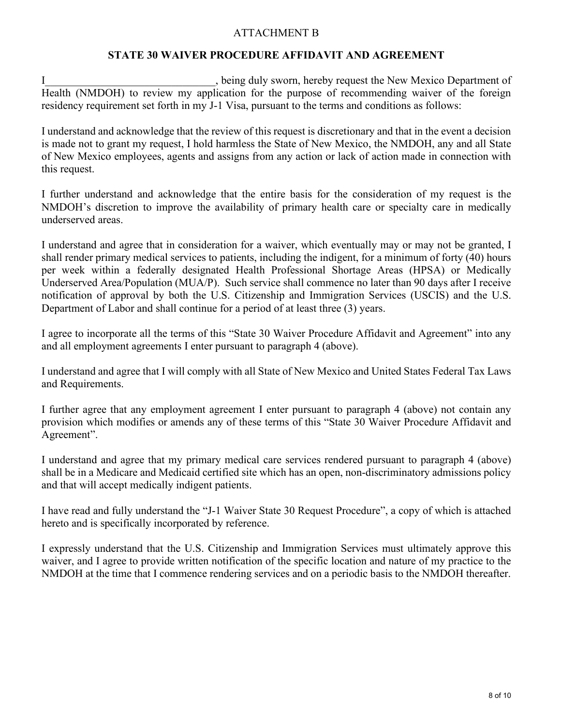## ATTACHMENT B

## **STATE 30 WAIVER PROCEDURE AFFIDAVIT AND AGREEMENT**

I<br>I shappen being duly sworn, hereby request the New Mexico Department of Health (NMDOH) to review my application for the purpose of recommending waiver of the foreign residency requirement set forth in my J-1 Visa, pursuant to the terms and conditions as follows:

I understand and acknowledge that the review of this request is discretionary and that in the event a decision is made not to grant my request, I hold harmless the State of New Mexico, the NMDOH, any and all State of New Mexico employees, agents and assigns from any action or lack of action made in connection with this request.

I further understand and acknowledge that the entire basis for the consideration of my request is the NMDOH's discretion to improve the availability of primary health care or specialty care in medically underserved areas.

I understand and agree that in consideration for a waiver, which eventually may or may not be granted, I shall render primary medical services to patients, including the indigent, for a minimum of forty (40) hours per week within a federally designated Health Professional Shortage Areas (HPSA) or Medically Underserved Area/Population (MUA/P). Such service shall commence no later than 90 days after I receive notification of approval by both the U.S. Citizenship and Immigration Services (USCIS) and the U.S. Department of Labor and shall continue for a period of at least three (3) years.

I agree to incorporate all the terms of this "State 30 Waiver Procedure Affidavit and Agreement" into any and all employment agreements I enter pursuant to paragraph 4 (above).

I understand and agree that I will comply with all State of New Mexico and United States Federal Tax Laws and Requirements.

I further agree that any employment agreement I enter pursuant to paragraph 4 (above) not contain any provision which modifies or amends any of these terms of this "State 30 Waiver Procedure Affidavit and Agreement".

I understand and agree that my primary medical care services rendered pursuant to paragraph 4 (above) shall be in a Medicare and Medicaid certified site which has an open, non-discriminatory admissions policy and that will accept medically indigent patients.

I have read and fully understand the "J-1 Waiver State 30 Request Procedure", a copy of which is attached hereto and is specifically incorporated by reference.

I expressly understand that the U.S. Citizenship and Immigration Services must ultimately approve this waiver, and I agree to provide written notification of the specific location and nature of my practice to the NMDOH at the time that I commence rendering services and on a periodic basis to the NMDOH thereafter.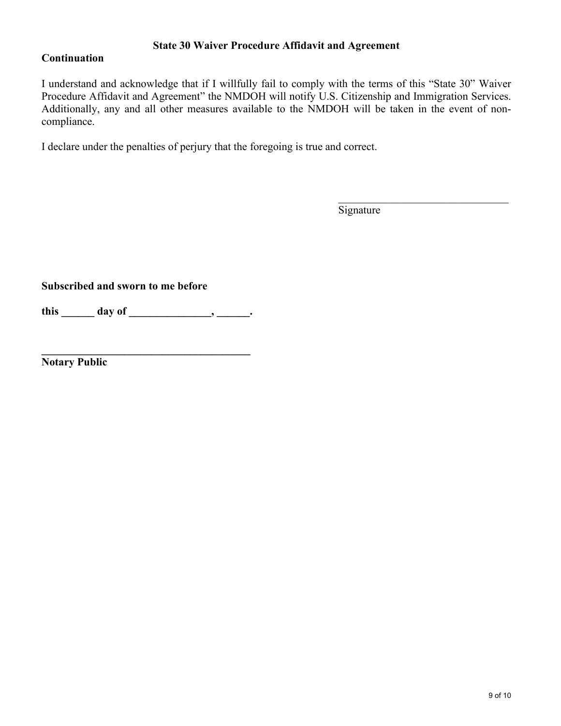## **State 30 Waiver Procedure Affidavit and Agreement**

## **Continuation**

I understand and acknowledge that if I willfully fail to comply with the terms of this "State 30" Waiver Procedure Affidavit and Agreement" the NMDOH will notify U.S. Citizenship and Immigration Services. Additionally, any and all other measures available to the NMDOH will be taken in the event of noncompliance.

I declare under the penalties of perjury that the foregoing is true and correct.

Signature

 $\mathcal{L}_\mathcal{L}$  , which is a substitution of the state of the state of the state of the state of the state of the state of the state of the state of the state of the state of the state of the state of the state of the stat

**Subscribed and sworn to me before**

**this \_\_\_\_\_\_ day of \_\_\_\_\_\_\_\_\_\_\_\_\_\_\_, \_\_\_\_\_\_.**

**\_\_\_\_\_\_\_\_\_\_\_\_\_\_\_\_\_\_\_\_\_\_\_\_\_\_\_\_\_\_\_\_\_\_\_\_\_\_**

**Notary Public**